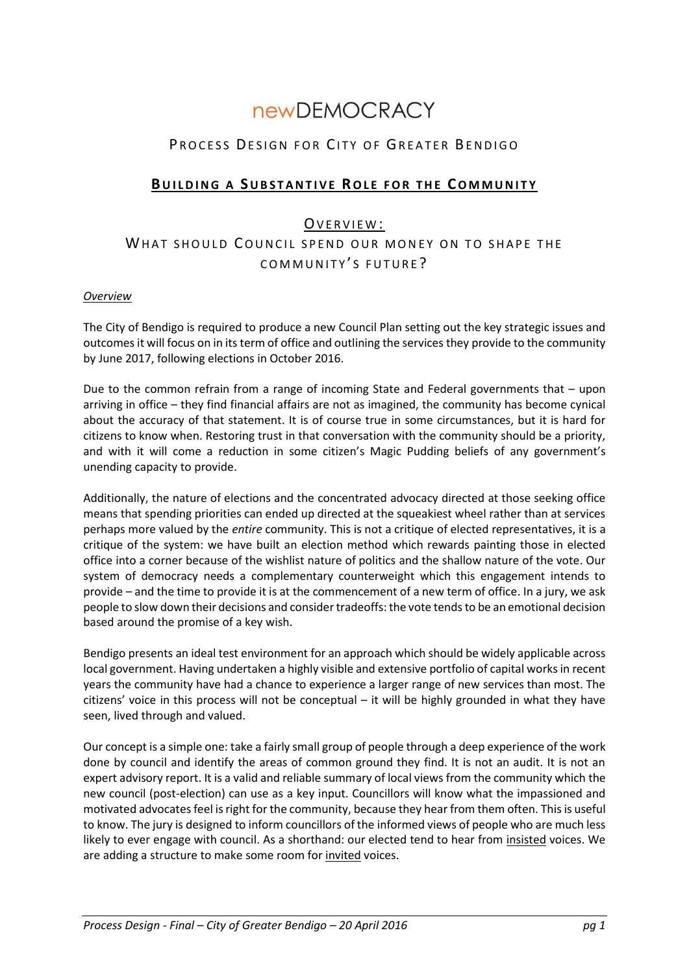# **newDEMOCRACY**

## PROCESS DESIGN FOR CITY OF GREATER BENDIGO

## **BUILDING A SUBSTANTIVE ROLE FOR THE COMMUNITY**

## OVERVIEW:

# WHAT SHOULD COUNCIL SPEND OUR MONEY ON TO SHAPE THE COMMUNITY'S FUTURE?

#### *Overview*

The City of Bendigo is required to produce a new Council Plan setting out the key strategic issues and outcomes it will focus on in its term of office and outlining the services they provide to the community by June 2017, following elections in October 2016.

Due to the common refrain from a range of incoming State and Federal governments that – upon arriving in office – they find financial affairs are not as imagined, the community has become cynical about the accuracy of that statement. It is of course true in some circumstances, but it is hard for citizens to know when. Restoring trust in that conversation with the community should be a priority, and with it will come a reduction in some citizen's Magic Pudding beliefs of any government's unending capacity to provide.

Additionally, the nature of elections and the concentrated advocacy directed at those seeking office means that spending priorities can ended up directed at the squeakiest wheel rather than at services perhaps more valued by the *entire* community. This is not a critique of elected representatives, it is a critique of the system: we have built an election method which rewards painting those in elected office into a corner because of the wishlist nature of politics and the shallow nature of the vote. Our system of democracy needs a complementary counterweight which this engagement intends to provide – and the time to provide it is at the commencement of a new term of office. In a jury, we ask people to slow down their decisions and consider tradeoffs: the vote tends to be an emotional decision based around the promise of a key wish.

Bendigo presents an ideal test environment for an approach which should be widely applicable across local government. Having undertaken a highly visible and extensive portfolio of capital works in recent years the community have had a chance to experience a larger range of new services than most. The citizens' voice in this process will not be conceptual – it will be highly grounded in what they have seen, lived through and valued.

Our concept is a simple one: take a fairly small group of people through a deep experience of the work done by council and identify the areas of common ground they find. It is not an audit. It is not an expert advisory report. It is a valid and reliable summary of local views from the community which the new council (post-election) can use as a key input. Councillors will know what the impassioned and motivated advocates feel is right for the community, because they hear from them often. Thisis useful to know. The jury is designed to inform councillors of the informed views of people who are much less likely to ever engage with council. As a shorthand: our elected tend to hear from insisted voices. We are adding a structure to make some room for invited voices.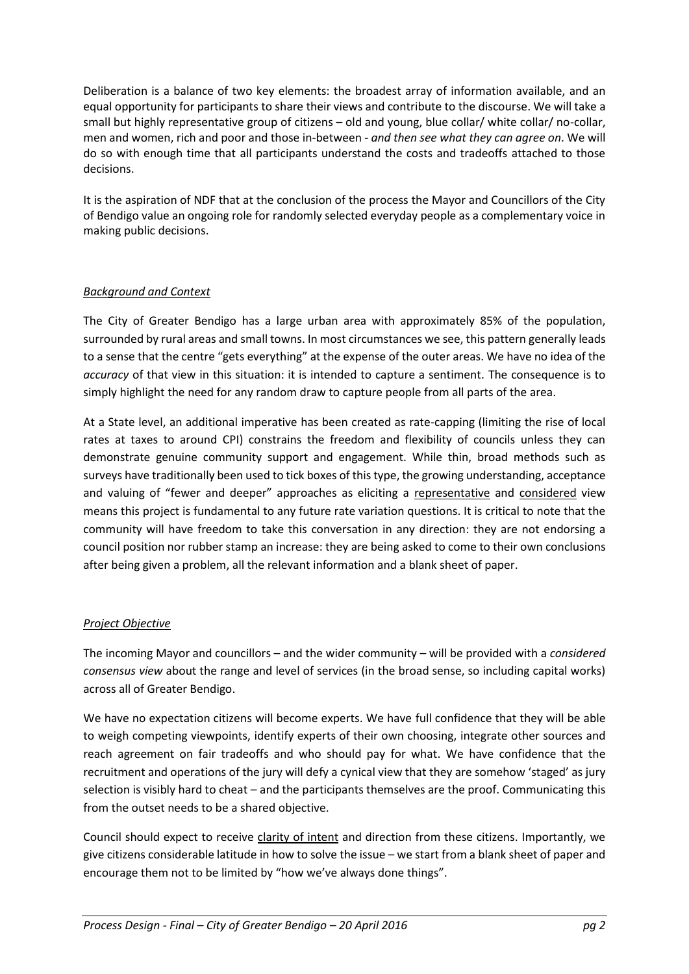Deliberation is a balance of two key elements: the broadest array of information available, and an equal opportunity for participants to share their views and contribute to the discourse. We will take a small but highly representative group of citizens – old and young, blue collar/ white collar/ no-collar, men and women, rich and poor and those in-between - *and then see what they can agree on*. We will do so with enough time that all participants understand the costs and tradeoffs attached to those decisions.

It is the aspiration of NDF that at the conclusion of the process the Mayor and Councillors of the City of Bendigo value an ongoing role for randomly selected everyday people as a complementary voice in making public decisions.

#### *Background and Context*

The City of Greater Bendigo has a large urban area with approximately 85% of the population, surrounded by rural areas and small towns. In most circumstances we see, this pattern generally leads to a sense that the centre "gets everything" at the expense of the outer areas. We have no idea of the *accuracy* of that view in this situation: it is intended to capture a sentiment. The consequence is to simply highlight the need for any random draw to capture people from all parts of the area.

At a State level, an additional imperative has been created as rate-capping (limiting the rise of local rates at taxes to around CPI) constrains the freedom and flexibility of councils unless they can demonstrate genuine community support and engagement. While thin, broad methods such as surveys have traditionally been used to tick boxes of this type, the growing understanding, acceptance and valuing of "fewer and deeper" approaches as eliciting a representative and considered view means this project is fundamental to any future rate variation questions. It is critical to note that the community will have freedom to take this conversation in any direction: they are not endorsing a council position nor rubber stamp an increase: they are being asked to come to their own conclusions after being given a problem, all the relevant information and a blank sheet of paper.

#### *Project Objective*

The incoming Mayor and councillors – and the wider community – will be provided with a *considered consensus view* about the range and level of services (in the broad sense, so including capital works) across all of Greater Bendigo.

We have no expectation citizens will become experts. We have full confidence that they will be able to weigh competing viewpoints, identify experts of their own choosing, integrate other sources and reach agreement on fair tradeoffs and who should pay for what. We have confidence that the recruitment and operations of the jury will defy a cynical view that they are somehow 'staged' as jury selection is visibly hard to cheat – and the participants themselves are the proof. Communicating this from the outset needs to be a shared objective.

Council should expect to receive clarity of intent and direction from these citizens. Importantly, we give citizens considerable latitude in how to solve the issue – we start from a blank sheet of paper and encourage them not to be limited by "how we've always done things".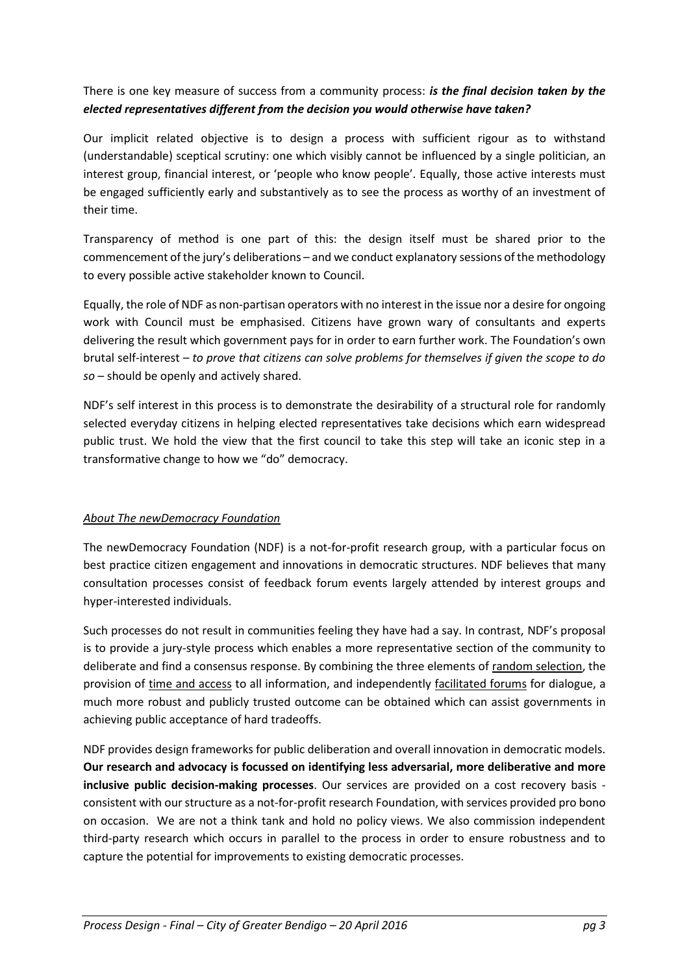## There is one key measure of success from a community process: *is the final decision taken by the elected representatives different from the decision you would otherwise have taken?*

Our implicit related objective is to design a process with sufficient rigour as to withstand (understandable) sceptical scrutiny: one which visibly cannot be influenced by a single politician, an interest group, financial interest, or 'people who know people'. Equally, those active interests must be engaged sufficiently early and substantively as to see the process as worthy of an investment of their time.

Transparency of method is one part of this: the design itself must be shared prior to the commencement of the jury's deliberations – and we conduct explanatory sessions of the methodology to every possible active stakeholder known to Council.

Equally, the role of NDF as non-partisan operators with no interest in the issue nor a desire for ongoing work with Council must be emphasised. Citizens have grown wary of consultants and experts delivering the result which government pays for in order to earn further work. The Foundation's own brutal self-interest – *to prove that citizens can solve problems for themselves if given the scope to do so* – should be openly and actively shared.

NDF's self interest in this process is to demonstrate the desirability of a structural role for randomly selected everyday citizens in helping elected representatives take decisions which earn widespread public trust. We hold the view that the first council to take this step will take an iconic step in a transformative change to how we "do" democracy.

### *About The newDemocracy Foundation*

The newDemocracy Foundation (NDF) is a not-for-profit research group, with a particular focus on best practice citizen engagement and innovations in democratic structures. NDF believes that many consultation processes consist of feedback forum events largely attended by interest groups and hyper-interested individuals.

Such processes do not result in communities feeling they have had a say. In contrast, NDF's proposal is to provide a jury-style process which enables a more representative section of the community to deliberate and find a consensus response. By combining the three elements of random selection, the provision of time and access to all information, and independently facilitated forums for dialogue, a much more robust and publicly trusted outcome can be obtained which can assist governments in achieving public acceptance of hard tradeoffs.

NDF provides design frameworks for public deliberation and overall innovation in democratic models. **Our research and advocacy is focussed on identifying less adversarial, more deliberative and more inclusive public decision-making processes**. Our services are provided on a cost recovery basis consistent with our structure as a not-for-profit research Foundation, with services provided pro bono on occasion. We are not a think tank and hold no policy views. We also commission independent third-party research which occurs in parallel to the process in order to ensure robustness and to capture the potential for improvements to existing democratic processes.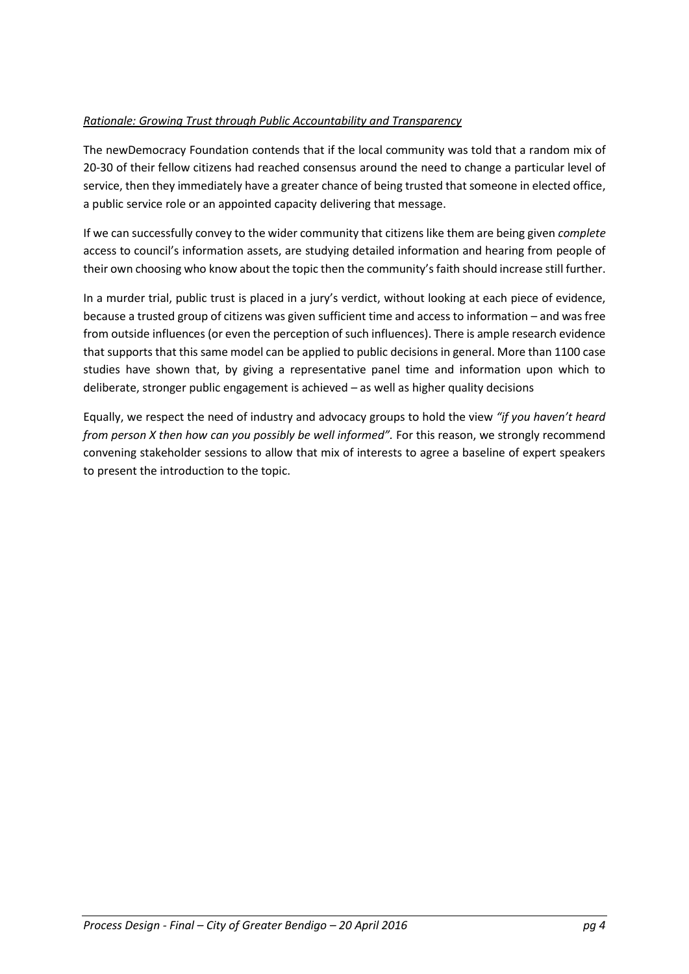#### *Rationale: Growing Trust through Public Accountability and Transparency*

The newDemocracy Foundation contends that if the local community was told that a random mix of 20-30 of their fellow citizens had reached consensus around the need to change a particular level of service, then they immediately have a greater chance of being trusted that someone in elected office, a public service role or an appointed capacity delivering that message.

If we can successfully convey to the wider community that citizens like them are being given *complete* access to council's information assets, are studying detailed information and hearing from people of their own choosing who know about the topic then the community's faith should increase still further.

In a murder trial, public trust is placed in a jury's verdict, without looking at each piece of evidence, because a trusted group of citizens was given sufficient time and access to information – and was free from outside influences (or even the perception of such influences). There is ample research evidence that supports that this same model can be applied to public decisions in general. More than 1100 case studies have shown that, by giving a representative panel time and information upon which to deliberate, stronger public engagement is achieved – as well as higher quality decisions

Equally, we respect the need of industry and advocacy groups to hold the view *"if you haven't heard from person X then how can you possibly be well informed".* For this reason, we strongly recommend convening stakeholder sessions to allow that mix of interests to agree a baseline of expert speakers to present the introduction to the topic.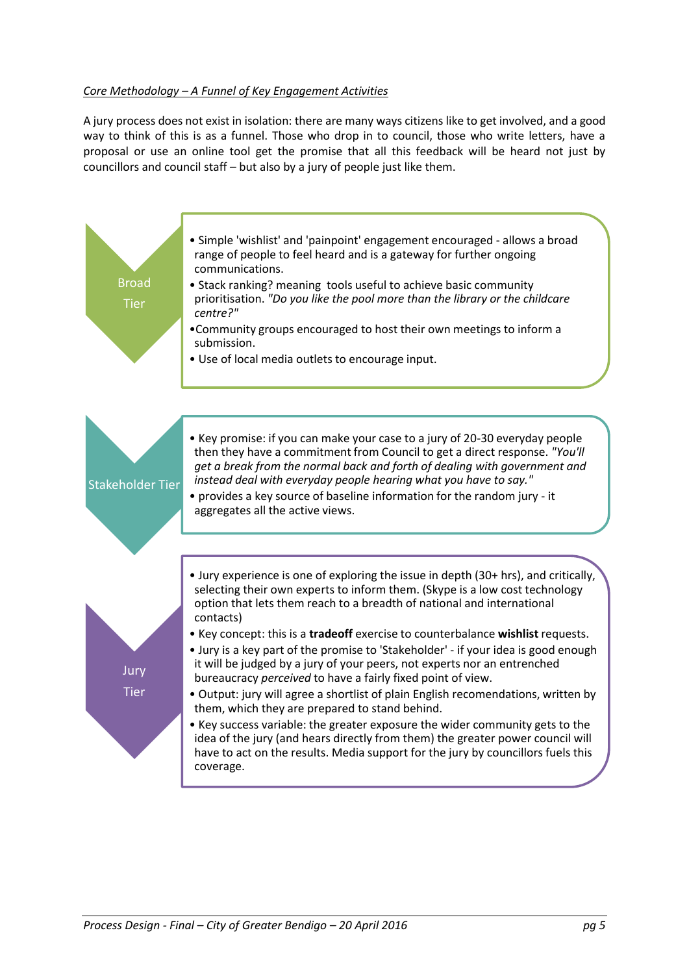#### *Core Methodology – A Funnel of Key Engagement Activities*

A jury process does not exist in isolation: there are many ways citizens like to get involved, and a good way to think of this is as a funnel. Those who drop in to council, those who write letters, have a proposal or use an online tool get the promise that all this feedback will be heard not just by councillors and council staff – but also by a jury of people just like them.

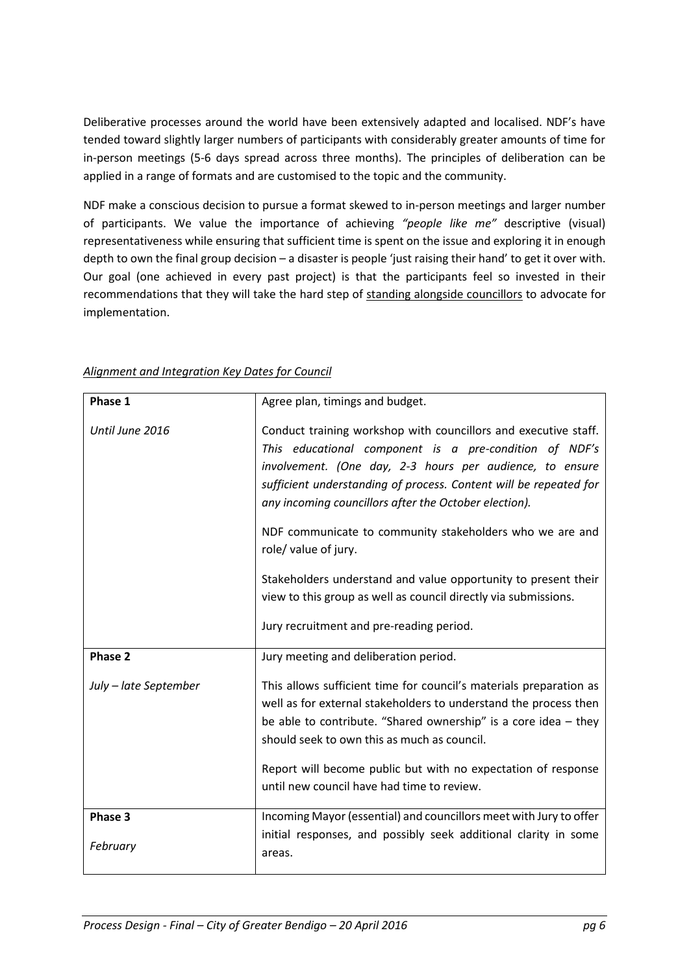Deliberative processes around the world have been extensively adapted and localised. NDF's have tended toward slightly larger numbers of participants with considerably greater amounts of time for in-person meetings (5-6 days spread across three months). The principles of deliberation can be applied in a range of formats and are customised to the topic and the community.

NDF make a conscious decision to pursue a format skewed to in-person meetings and larger number of participants. We value the importance of achieving *"people like me"* descriptive (visual) representativeness while ensuring that sufficient time is spent on the issue and exploring it in enough depth to own the final group decision – a disaster is people 'just raising their hand' to get it over with. Our goal (one achieved in every past project) is that the participants feel so invested in their recommendations that they will take the hard step of standing alongside councillors to advocate for implementation.

| Phase 1               | Agree plan, timings and budget.                                                                                                                                                                                                                                                                                                                                                                                                                                                                                                                                                          |
|-----------------------|------------------------------------------------------------------------------------------------------------------------------------------------------------------------------------------------------------------------------------------------------------------------------------------------------------------------------------------------------------------------------------------------------------------------------------------------------------------------------------------------------------------------------------------------------------------------------------------|
| Until June 2016       | Conduct training workshop with councillors and executive staff.<br>This educational component is a pre-condition of NDF's<br>involvement. (One day, 2-3 hours per audience, to ensure<br>sufficient understanding of process. Content will be repeated for<br>any incoming councillors after the October election).<br>NDF communicate to community stakeholders who we are and<br>role/ value of jury.<br>Stakeholders understand and value opportunity to present their<br>view to this group as well as council directly via submissions.<br>Jury recruitment and pre-reading period. |
| Phase 2               | Jury meeting and deliberation period.                                                                                                                                                                                                                                                                                                                                                                                                                                                                                                                                                    |
| July - late September | This allows sufficient time for council's materials preparation as<br>well as for external stakeholders to understand the process then<br>be able to contribute. "Shared ownership" is a core idea $-$ they<br>should seek to own this as much as council.                                                                                                                                                                                                                                                                                                                               |
|                       | Report will become public but with no expectation of response<br>until new council have had time to review.                                                                                                                                                                                                                                                                                                                                                                                                                                                                              |
| Phase 3               | Incoming Mayor (essential) and councillors meet with Jury to offer                                                                                                                                                                                                                                                                                                                                                                                                                                                                                                                       |
| February              | initial responses, and possibly seek additional clarity in some<br>areas.                                                                                                                                                                                                                                                                                                                                                                                                                                                                                                                |

#### *Alignment and Integration Key Dates for Council*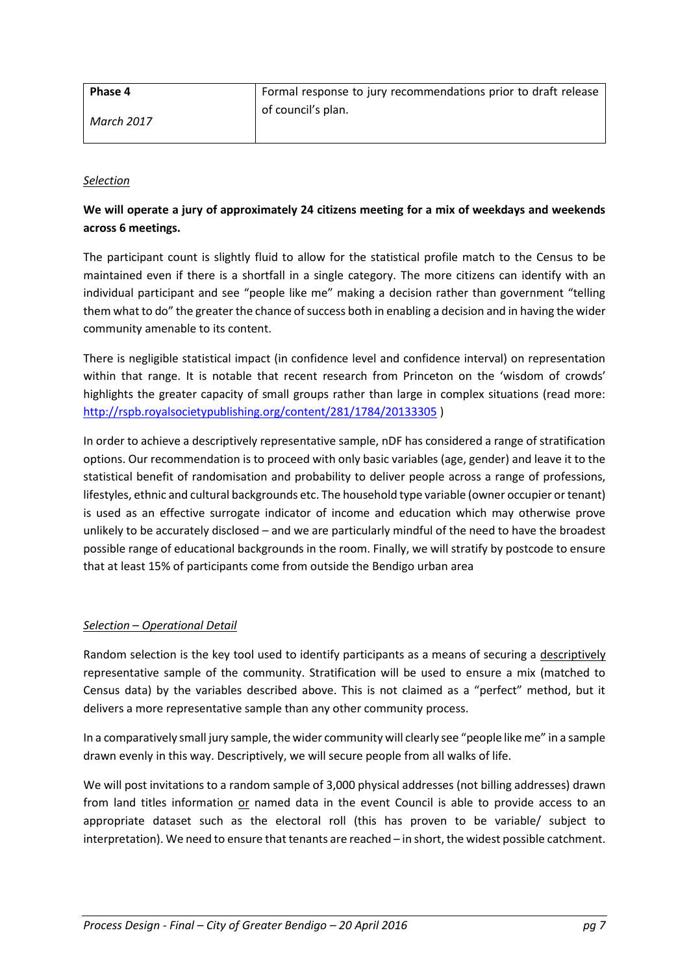| Phase 4    | Formal response to jury recommendations prior to draft release |
|------------|----------------------------------------------------------------|
| March 2017 | of council's plan.                                             |

#### *Selection*

### **We will operate a jury of approximately 24 citizens meeting for a mix of weekdays and weekends across 6 meetings.**

The participant count is slightly fluid to allow for the statistical profile match to the Census to be maintained even if there is a shortfall in a single category. The more citizens can identify with an individual participant and see "people like me" making a decision rather than government "telling them what to do" the greater the chance of success both in enabling a decision and in having the wider community amenable to its content.

There is negligible statistical impact (in confidence level and confidence interval) on representation within that range. It is notable that recent research from Princeton on the 'wisdom of crowds' highlights the greater capacity of small groups rather than large in complex situations (read more: <http://rspb.royalsocietypublishing.org/content/281/1784/20133305> )

In order to achieve a descriptively representative sample, nDF has considered a range of stratification options. Our recommendation is to proceed with only basic variables (age, gender) and leave it to the statistical benefit of randomisation and probability to deliver people across a range of professions, lifestyles, ethnic and cultural backgrounds etc. The household type variable (owner occupier or tenant) is used as an effective surrogate indicator of income and education which may otherwise prove unlikely to be accurately disclosed – and we are particularly mindful of the need to have the broadest possible range of educational backgrounds in the room. Finally, we will stratify by postcode to ensure that at least 15% of participants come from outside the Bendigo urban area

#### *Selection – Operational Detail*

Random selection is the key tool used to identify participants as a means of securing a descriptively representative sample of the community. Stratification will be used to ensure a mix (matched to Census data) by the variables described above. This is not claimed as a "perfect" method, but it delivers a more representative sample than any other community process.

In a comparatively small jury sample, the wider community will clearly see "people like me" in a sample drawn evenly in this way. Descriptively, we will secure people from all walks of life.

We will post invitations to a random sample of 3,000 physical addresses (not billing addresses) drawn from land titles information or named data in the event Council is able to provide access to an appropriate dataset such as the electoral roll (this has proven to be variable/ subject to interpretation). We need to ensure that tenants are reached – in short, the widest possible catchment.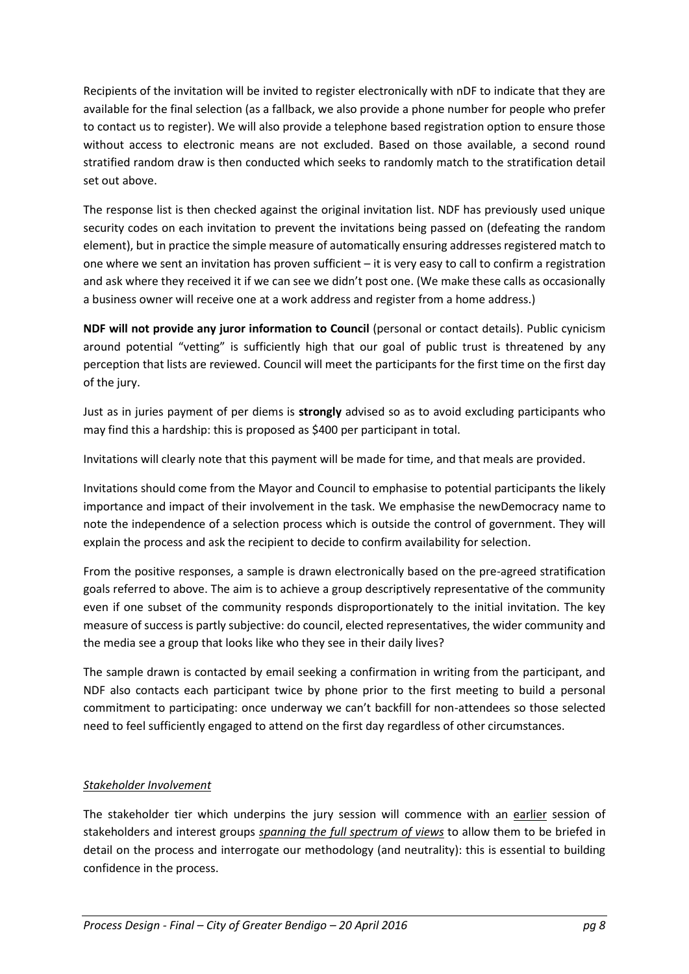Recipients of the invitation will be invited to register electronically with nDF to indicate that they are available for the final selection (as a fallback, we also provide a phone number for people who prefer to contact us to register). We will also provide a telephone based registration option to ensure those without access to electronic means are not excluded. Based on those available, a second round stratified random draw is then conducted which seeks to randomly match to the stratification detail set out above.

The response list is then checked against the original invitation list. NDF has previously used unique security codes on each invitation to prevent the invitations being passed on (defeating the random element), but in practice the simple measure of automatically ensuring addresses registered match to one where we sent an invitation has proven sufficient – it is very easy to call to confirm a registration and ask where they received it if we can see we didn't post one. (We make these calls as occasionally a business owner will receive one at a work address and register from a home address.)

**NDF will not provide any juror information to Council** (personal or contact details). Public cynicism around potential "vetting" is sufficiently high that our goal of public trust is threatened by any perception that lists are reviewed. Council will meet the participants for the first time on the first day of the jury.

Just as in juries payment of per diems is **strongly** advised so as to avoid excluding participants who may find this a hardship: this is proposed as \$400 per participant in total.

Invitations will clearly note that this payment will be made for time, and that meals are provided.

Invitations should come from the Mayor and Council to emphasise to potential participants the likely importance and impact of their involvement in the task. We emphasise the newDemocracy name to note the independence of a selection process which is outside the control of government. They will explain the process and ask the recipient to decide to confirm availability for selection.

From the positive responses, a sample is drawn electronically based on the pre-agreed stratification goals referred to above. The aim is to achieve a group descriptively representative of the community even if one subset of the community responds disproportionately to the initial invitation. The key measure of success is partly subjective: do council, elected representatives, the wider community and the media see a group that looks like who they see in their daily lives?

The sample drawn is contacted by email seeking a confirmation in writing from the participant, and NDF also contacts each participant twice by phone prior to the first meeting to build a personal commitment to participating: once underway we can't backfill for non-attendees so those selected need to feel sufficiently engaged to attend on the first day regardless of other circumstances.

### *Stakeholder Involvement*

The stakeholder tier which underpins the jury session will commence with an earlier session of stakeholders and interest groups *spanning the full spectrum of views* to allow them to be briefed in detail on the process and interrogate our methodology (and neutrality): this is essential to building confidence in the process.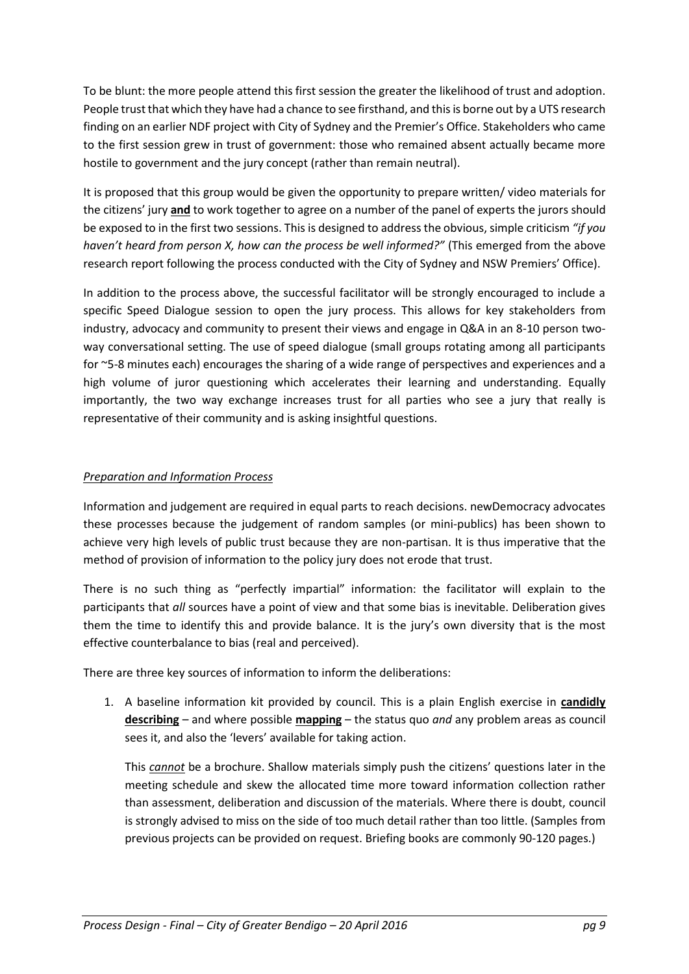To be blunt: the more people attend this first session the greater the likelihood of trust and adoption. People trust that which they have had a chance to see firsthand, and this is borne out by a UTS research finding on an earlier NDF project with City of Sydney and the Premier's Office. Stakeholders who came to the first session grew in trust of government: those who remained absent actually became more hostile to government and the jury concept (rather than remain neutral).

It is proposed that this group would be given the opportunity to prepare written/ video materials for the citizens' jury **and** to work together to agree on a number of the panel of experts the jurors should be exposed to in the first two sessions. This is designed to address the obvious, simple criticism *"if you haven't heard from person X, how can the process be well informed?"* (This emerged from the above research report following the process conducted with the City of Sydney and NSW Premiers' Office).

In addition to the process above, the successful facilitator will be strongly encouraged to include a specific Speed Dialogue session to open the jury process. This allows for key stakeholders from industry, advocacy and community to present their views and engage in Q&A in an 8-10 person twoway conversational setting. The use of speed dialogue (small groups rotating among all participants for ~5-8 minutes each) encourages the sharing of a wide range of perspectives and experiences and a high volume of juror questioning which accelerates their learning and understanding. Equally importantly, the two way exchange increases trust for all parties who see a jury that really is representative of their community and is asking insightful questions.

#### *Preparation and Information Process*

Information and judgement are required in equal parts to reach decisions. newDemocracy advocates these processes because the judgement of random samples (or mini-publics) has been shown to achieve very high levels of public trust because they are non-partisan. It is thus imperative that the method of provision of information to the policy jury does not erode that trust.

There is no such thing as "perfectly impartial" information: the facilitator will explain to the participants that *all* sources have a point of view and that some bias is inevitable. Deliberation gives them the time to identify this and provide balance. It is the jury's own diversity that is the most effective counterbalance to bias (real and perceived).

There are three key sources of information to inform the deliberations:

1. A baseline information kit provided by council. This is a plain English exercise in **candidly describing** – and where possible **mapping** – the status quo *and* any problem areas as council sees it, and also the 'levers' available for taking action.

This *cannot* be a brochure. Shallow materials simply push the citizens' questions later in the meeting schedule and skew the allocated time more toward information collection rather than assessment, deliberation and discussion of the materials. Where there is doubt, council is strongly advised to miss on the side of too much detail rather than too little. (Samples from previous projects can be provided on request. Briefing books are commonly 90-120 pages.)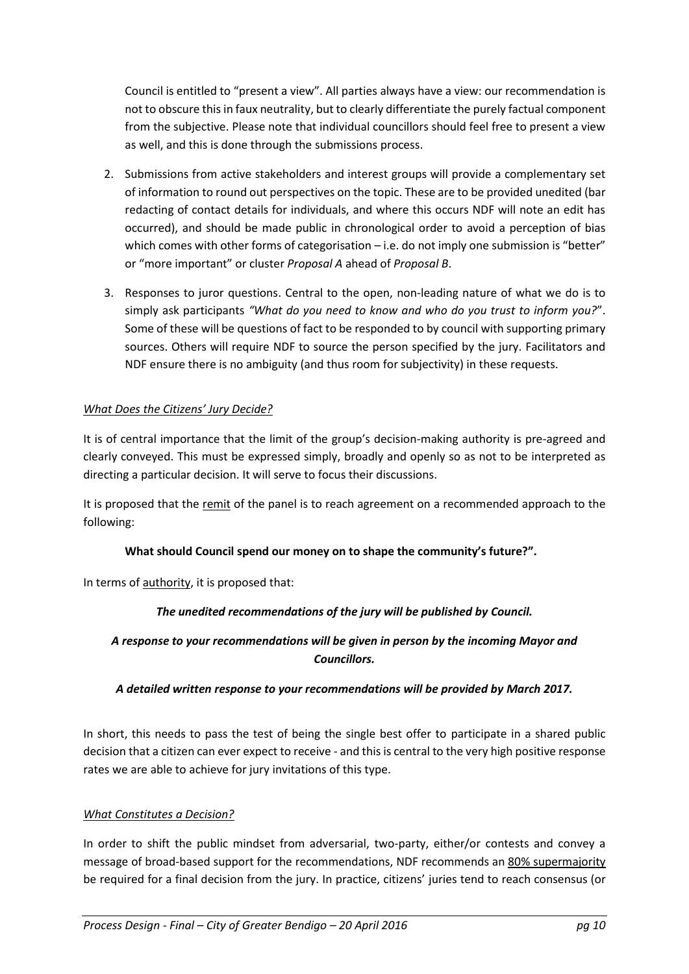Council is entitled to "present a view". All parties always have a view: our recommendation is not to obscure this in faux neutrality, but to clearly differentiate the purely factual component from the subjective. Please note that individual councillors should feel free to present a view as well, and this is done through the submissions process.

- 2. Submissions from active stakeholders and interest groups will provide a complementary set of information to round out perspectives on the topic. These are to be provided unedited (bar redacting of contact details for individuals, and where this occurs NDF will note an edit has occurred), and should be made public in chronological order to avoid a perception of bias which comes with other forms of categorisation – i.e. do not imply one submission is "better" or "more important" or cluster *Proposal A* ahead of *Proposal B*.
- 3. Responses to juror questions. Central to the open, non-leading nature of what we do is to simply ask participants *"What do you need to know and who do you trust to inform you?*". Some of these will be questions of fact to be responded to by council with supporting primary sources. Others will require NDF to source the person specified by the jury. Facilitators and NDF ensure there is no ambiguity (and thus room for subjectivity) in these requests.

#### *What Does the Citizens' Jury Decide?*

It is of central importance that the limit of the group's decision-making authority is pre-agreed and clearly conveyed. This must be expressed simply, broadly and openly so as not to be interpreted as directing a particular decision. It will serve to focus their discussions.

It is proposed that the remit of the panel is to reach agreement on a recommended approach to the following:

#### **What should Council spend our money on to shape the community's future?".**

In terms of authority, it is proposed that:

### *The unedited recommendations of the jury will be published by Council.*

### *A response to your recommendations will be given in person by the incoming Mayor and Councillors.*

#### *A detailed written response to your recommendations will be provided by March 2017.*

In short, this needs to pass the test of being the single best offer to participate in a shared public decision that a citizen can ever expect to receive - and this is central to the very high positive response rates we are able to achieve for jury invitations of this type.

#### *What Constitutes a Decision?*

In order to shift the public mindset from adversarial, two-party, either/or contests and convey a message of broad-based support for the recommendations, NDF recommends an 80% supermajority be required for a final decision from the jury. In practice, citizens' juries tend to reach consensus (or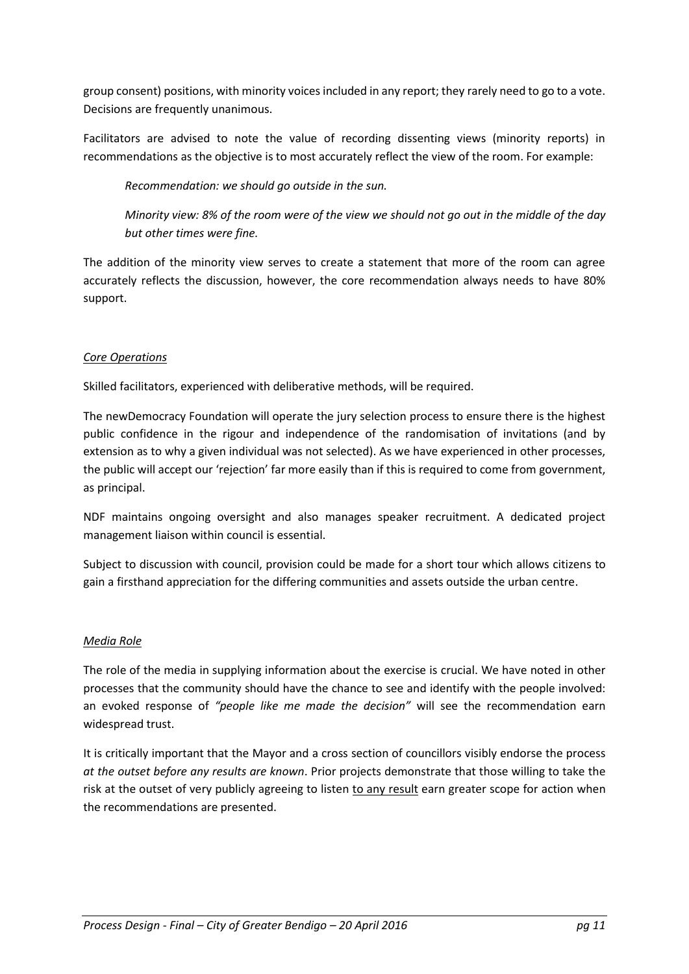group consent) positions, with minority voices included in any report; they rarely need to go to a vote. Decisions are frequently unanimous.

Facilitators are advised to note the value of recording dissenting views (minority reports) in recommendations as the objective is to most accurately reflect the view of the room. For example:

*Recommendation: we should go outside in the sun.*

*Minority view: 8% of the room were of the view we should not go out in the middle of the day but other times were fine.*

The addition of the minority view serves to create a statement that more of the room can agree accurately reflects the discussion, however, the core recommendation always needs to have 80% support.

#### *Core Operations*

Skilled facilitators, experienced with deliberative methods, will be required.

The newDemocracy Foundation will operate the jury selection process to ensure there is the highest public confidence in the rigour and independence of the randomisation of invitations (and by extension as to why a given individual was not selected). As we have experienced in other processes, the public will accept our 'rejection' far more easily than if this is required to come from government, as principal.

NDF maintains ongoing oversight and also manages speaker recruitment. A dedicated project management liaison within council is essential.

Subject to discussion with council, provision could be made for a short tour which allows citizens to gain a firsthand appreciation for the differing communities and assets outside the urban centre.

#### *Media Role*

The role of the media in supplying information about the exercise is crucial. We have noted in other processes that the community should have the chance to see and identify with the people involved: an evoked response of *"people like me made the decision"* will see the recommendation earn widespread trust.

It is critically important that the Mayor and a cross section of councillors visibly endorse the process *at the outset before any results are known*. Prior projects demonstrate that those willing to take the risk at the outset of very publicly agreeing to listen to any result earn greater scope for action when the recommendations are presented.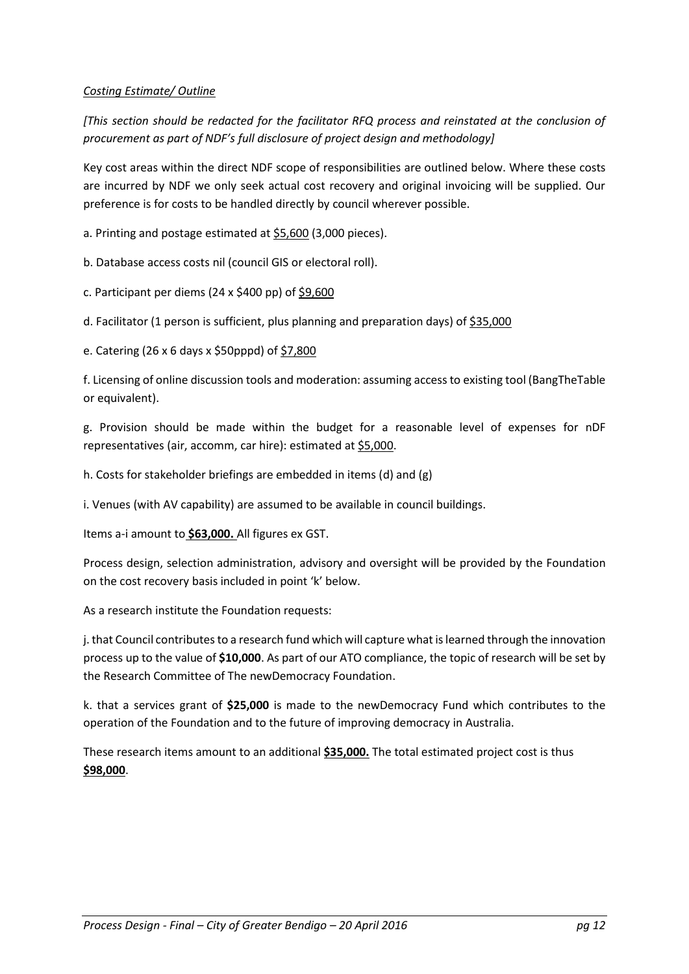#### *Costing Estimate/ Outline*

*[This section should be redacted for the facilitator RFQ process and reinstated at the conclusion of procurement as part of NDF's full disclosure of project design and methodology]*

Key cost areas within the direct NDF scope of responsibilities are outlined below. Where these costs are incurred by NDF we only seek actual cost recovery and original invoicing will be supplied. Our preference is for costs to be handled directly by council wherever possible.

a. Printing and postage estimated at  $$5,600$  (3,000 pieces).

b. Database access costs nil (council GIS or electoral roll).

c. Participant per diems (24 x \$400 pp) of \$9,600

d. Facilitator (1 person is sufficient, plus planning and preparation days) of \$35,000

e. Catering (26 x 6 days x \$50pppd) of \$7,800

f. Licensing of online discussion tools and moderation: assuming access to existing tool (BangTheTable or equivalent).

g. Provision should be made within the budget for a reasonable level of expenses for nDF representatives (air, accomm, car hire): estimated at \$5,000.

h. Costs for stakeholder briefings are embedded in items (d) and (g)

i. Venues (with AV capability) are assumed to be available in council buildings.

Items a-i amount to **\$63,000.** All figures ex GST.

Process design, selection administration, advisory and oversight will be provided by the Foundation on the cost recovery basis included in point 'k' below.

As a research institute the Foundation requests:

j. that Council contributes to a research fund which will capture what is learned through the innovation process up to the value of **\$10,000**. As part of our ATO compliance, the topic of research will be set by the Research Committee of The newDemocracy Foundation.

k. that a services grant of **\$25,000** is made to the newDemocracy Fund which contributes to the operation of the Foundation and to the future of improving democracy in Australia.

These research items amount to an additional **\$35,000.** The total estimated project cost is thus **\$98,000**.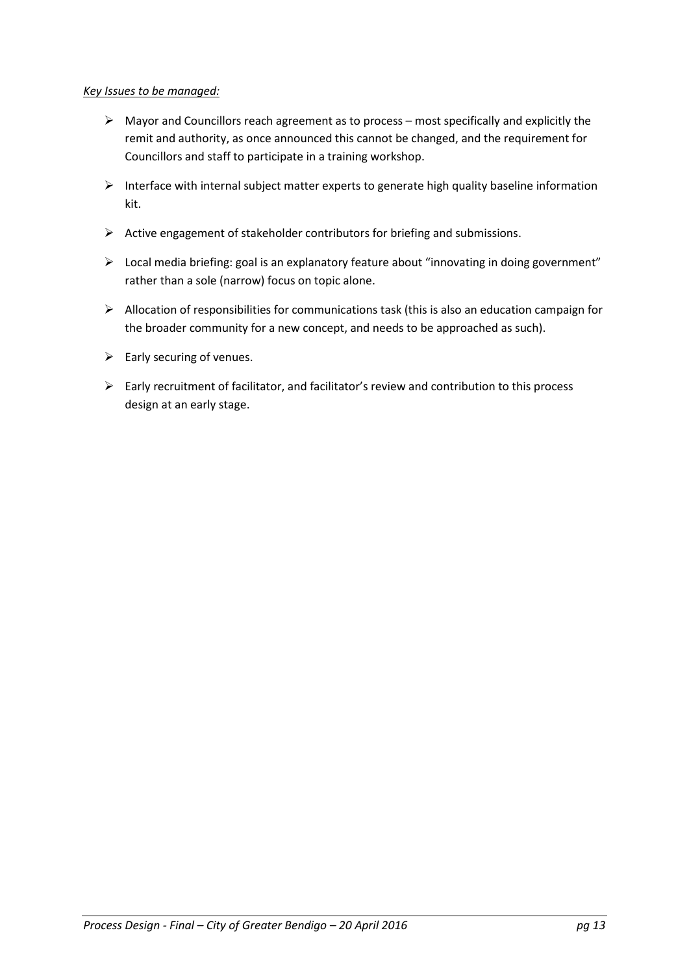#### *Key Issues to be managed:*

- $\triangleright$  Mayor and Councillors reach agreement as to process most specifically and explicitly the remit and authority, as once announced this cannot be changed, and the requirement for Councillors and staff to participate in a training workshop.
- $\triangleright$  Interface with internal subject matter experts to generate high quality baseline information kit.
- $\triangleright$  Active engagement of stakeholder contributors for briefing and submissions.
- Local media briefing: goal is an explanatory feature about "innovating in doing government" rather than a sole (narrow) focus on topic alone.
- $\triangleright$  Allocation of responsibilities for communications task (this is also an education campaign for the broader community for a new concept, and needs to be approached as such).
- $\triangleright$  Early securing of venues.
- $\triangleright$  Early recruitment of facilitator, and facilitator's review and contribution to this process design at an early stage.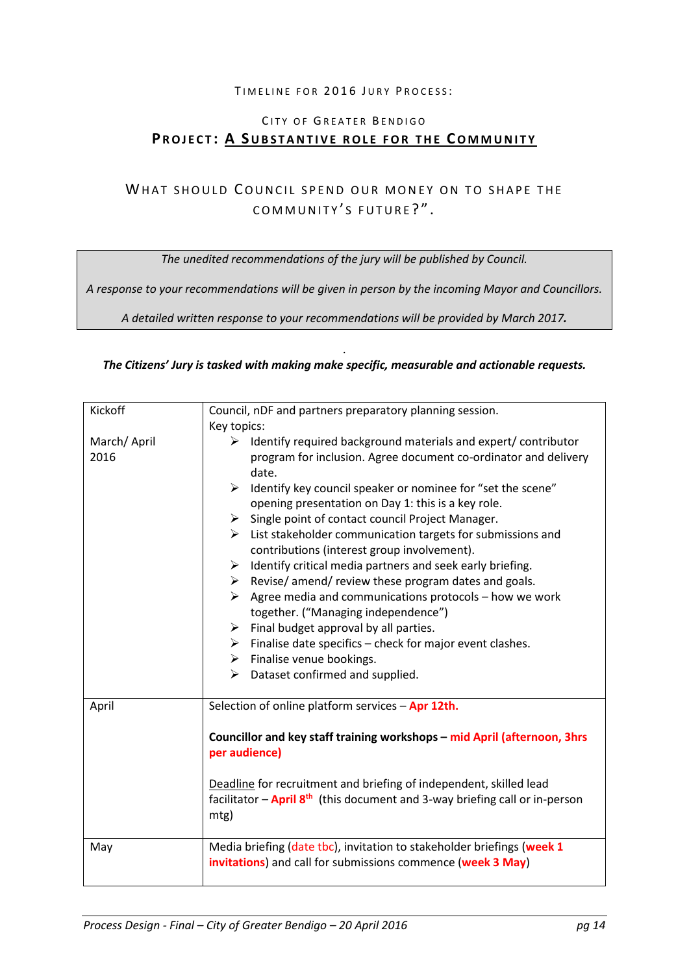#### TIMELINE FOR 2016 JURY PROCESS:

## CITY OF GREATER BENDIGO **PROJECT: A SUBSTANTIVE ROLE FOR THE COMMUNITY**

## WHAT SHOULD COUNCIL SPEND OUR MONEY ON TO SHAPE THE COMMUNITY'S FUTURE?".

*The unedited recommendations of the jury will be published by Council.*

*A response to your recommendations will be given in person by the incoming Mayor and Councillors.*

*A detailed written response to your recommendations will be provided by March 2017.* 

#### . *The Citizens' Jury is tasked with making make specific, measurable and actionable requests.*

| Kickoff     | Council, nDF and partners preparatory planning session.                                       |
|-------------|-----------------------------------------------------------------------------------------------|
|             | Key topics:                                                                                   |
| March/April | $\triangleright$ Identify required background materials and expert/ contributor               |
| 2016        | program for inclusion. Agree document co-ordinator and delivery                               |
|             | date.                                                                                         |
|             | Identify key council speaker or nominee for "set the scene"<br>$\blacktriangleright$          |
|             | opening presentation on Day 1: this is a key role.                                            |
|             | Single point of contact council Project Manager.<br>➤                                         |
|             | $\triangleright$ List stakeholder communication targets for submissions and                   |
|             | contributions (interest group involvement).                                                   |
|             | Identify critical media partners and seek early briefing.<br>➤                                |
|             | $\triangleright$ Revise/ amend/ review these program dates and goals.                         |
|             | Agree media and communications protocols - how we work<br>➤                                   |
|             | together. ("Managing independence")                                                           |
|             | $\triangleright$ Final budget approval by all parties.                                        |
|             | Finalise date specifics - check for major event clashes.<br>➤                                 |
|             | $\triangleright$ Finalise venue bookings.                                                     |
|             | Dataset confirmed and supplied.<br>➤                                                          |
| April       | Selection of online platform services - Apr 12th.                                             |
|             |                                                                                               |
|             | Councillor and key staff training workshops - mid April (afternoon, 3hrs<br>per audience)     |
|             |                                                                                               |
|             | Deadline for recruitment and briefing of independent, skilled lead                            |
|             | facilitator $-\text{April 8}^{\text{th}}$ (this document and 3-way briefing call or in-person |
|             | mtg)                                                                                          |
|             |                                                                                               |
| May         | Media briefing (date tbc), invitation to stakeholder briefings (week 1                        |
|             | invitations) and call for submissions commence (week 3 May)                                   |
|             |                                                                                               |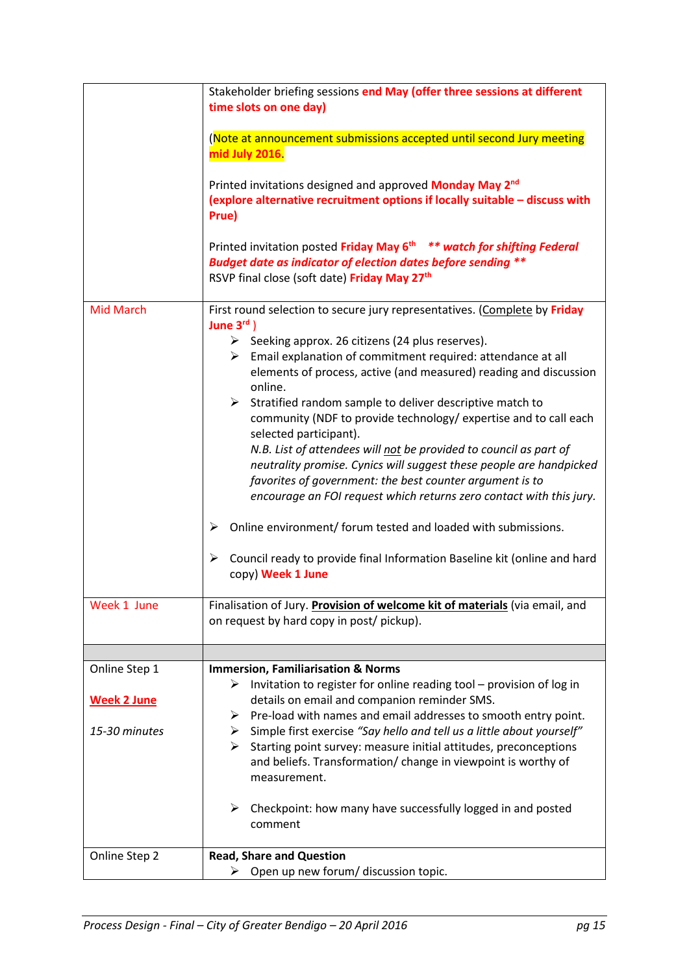|                    | Stakeholder briefing sessions end May (offer three sessions at different<br>time slots on one day)                                                           |
|--------------------|--------------------------------------------------------------------------------------------------------------------------------------------------------------|
|                    |                                                                                                                                                              |
|                    | (Note at announcement submissions accepted until second Jury meeting<br>mid July 2016.                                                                       |
|                    | Printed invitations designed and approved Monday May 2 <sup>nd</sup><br>(explore alternative recruitment options if locally suitable - discuss with          |
|                    | Prue)                                                                                                                                                        |
|                    | Printed invitation posted Friday May 6 <sup>th **</sup> watch for shifting Federal                                                                           |
|                    | <b>Budget date as indicator of election dates before sending **</b>                                                                                          |
|                    | RSVP final close (soft date) Friday May 27 <sup>th</sup>                                                                                                     |
| <b>Mid March</b>   | First round selection to secure jury representatives. (Complete by Friday<br>June $3^{\text{rd}}$ )                                                          |
|                    | Seeking approx. 26 citizens (24 plus reserves).                                                                                                              |
|                    | $\triangleright$ Email explanation of commitment required: attendance at all<br>elements of process, active (and measured) reading and discussion<br>online. |
|                    | $\triangleright$ Stratified random sample to deliver descriptive match to                                                                                    |
|                    | community (NDF to provide technology/ expertise and to call each<br>selected participant).                                                                   |
|                    | N.B. List of attendees will not be provided to council as part of                                                                                            |
|                    | neutrality promise. Cynics will suggest these people are handpicked<br>favorites of government: the best counter argument is to                              |
|                    | encourage an FOI request which returns zero contact with this jury.                                                                                          |
|                    |                                                                                                                                                              |
|                    | Online environment/ forum tested and loaded with submissions.<br>➤                                                                                           |
|                    | Council ready to provide final Information Baseline kit (online and hard<br>➤<br>copy) Week 1 June                                                           |
| Week 1 June        | Finalisation of Jury. Provision of welcome kit of materials (via email, and                                                                                  |
|                    | on request by hard copy in post/ pickup).                                                                                                                    |
|                    |                                                                                                                                                              |
| Online Step 1      | <b>Immersion, Familiarisation &amp; Norms</b><br>Invitation to register for online reading tool - provision of log in<br>➤                                   |
| <b>Week 2 June</b> | details on email and companion reminder SMS.                                                                                                                 |
|                    | Pre-load with names and email addresses to smooth entry point.<br>➤                                                                                          |
| 15-30 minutes      | $\triangleright$ Simple first exercise "Say hello and tell us a little about yourself"                                                                       |
|                    | Starting point survey: measure initial attitudes, preconceptions<br>➤<br>and beliefs. Transformation/ change in viewpoint is worthy of                       |
|                    | measurement.                                                                                                                                                 |
|                    | Checkpoint: how many have successfully logged in and posted<br>➤<br>comment                                                                                  |
| Online Step 2      | <b>Read, Share and Question</b>                                                                                                                              |
|                    | Open up new forum/ discussion topic.                                                                                                                         |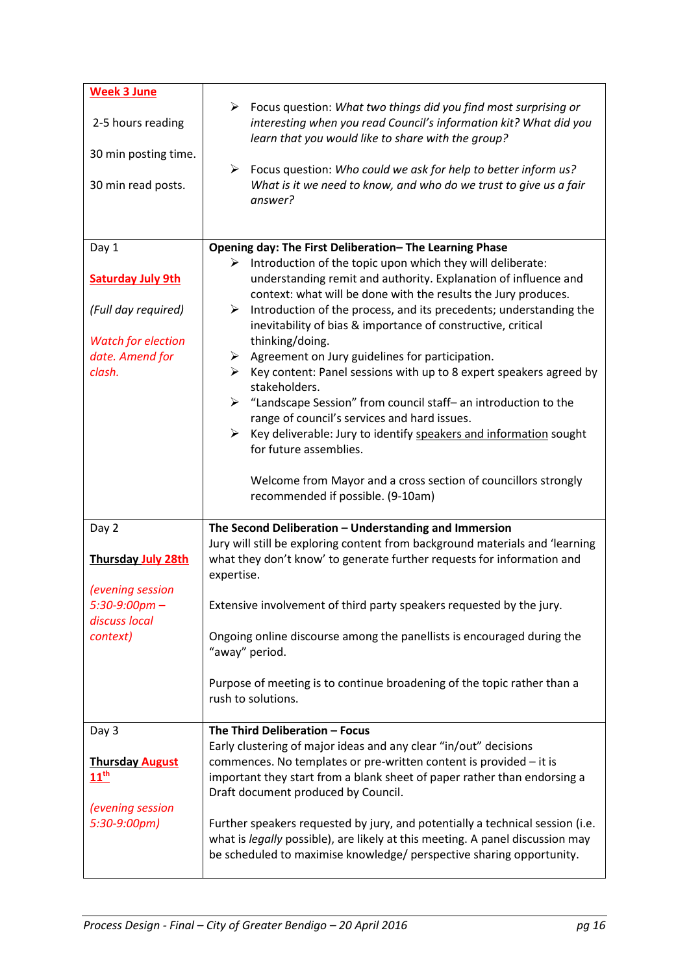| <b>Week 3 June</b>                         |                                                                                                                                                                                                                                                           |
|--------------------------------------------|-----------------------------------------------------------------------------------------------------------------------------------------------------------------------------------------------------------------------------------------------------------|
| 2-5 hours reading                          | ≻<br>Focus question: What two things did you find most surprising or<br>interesting when you read Council's information kit? What did you<br>learn that you would like to share with the group?                                                           |
| 30 min posting time.                       | Focus question: Who could we ask for help to better inform us?<br>$\blacktriangleright$                                                                                                                                                                   |
| 30 min read posts.                         | What is it we need to know, and who do we trust to give us a fair<br>answer?                                                                                                                                                                              |
| Day 1                                      | Opening day: The First Deliberation- The Learning Phase                                                                                                                                                                                                   |
| <b>Saturday July 9th</b>                   | $\triangleright$ Introduction of the topic upon which they will deliberate:<br>understanding remit and authority. Explanation of influence and<br>context: what will be done with the results the Jury produces.                                          |
| (Full day required)                        | Introduction of the process, and its precedents; understanding the<br>≻<br>inevitability of bias & importance of constructive, critical                                                                                                                   |
| <b>Watch for election</b>                  | thinking/doing.                                                                                                                                                                                                                                           |
| date. Amend for                            | Agreement on Jury guidelines for participation.<br>➤                                                                                                                                                                                                      |
| clash.                                     | Key content: Panel sessions with up to 8 expert speakers agreed by<br>➤<br>stakeholders.                                                                                                                                                                  |
|                                            | $\triangleright$ "Landscape Session" from council staff- an introduction to the                                                                                                                                                                           |
|                                            | range of council's services and hard issues.                                                                                                                                                                                                              |
|                                            | Key deliverable: Jury to identify speakers and information sought<br>≻<br>for future assemblies.                                                                                                                                                          |
|                                            | Welcome from Mayor and a cross section of councillors strongly<br>recommended if possible. (9-10am)                                                                                                                                                       |
| Day 2                                      | The Second Deliberation - Understanding and Immersion                                                                                                                                                                                                     |
| <b>Thursday July 28th</b>                  | Jury will still be exploring content from background materials and 'learning<br>what they don't know' to generate further requests for information and<br>expertise.                                                                                      |
| (evening session                           |                                                                                                                                                                                                                                                           |
| $5:30-9:00$ pm –<br>discuss local          | Extensive involvement of third party speakers requested by the jury.                                                                                                                                                                                      |
| context)                                   | Ongoing online discourse among the panellists is encouraged during the<br>"away" period.                                                                                                                                                                  |
|                                            | Purpose of meeting is to continue broadening of the topic rather than a<br>rush to solutions.                                                                                                                                                             |
| Day 3                                      | The Third Deliberation - Focus                                                                                                                                                                                                                            |
| <b>Thursday August</b><br>$11^{\text{th}}$ | Early clustering of major ideas and any clear "in/out" decisions<br>commences. No templates or pre-written content is provided - it is<br>important they start from a blank sheet of paper rather than endorsing a<br>Draft document produced by Council. |
| (evening session<br>5:30-9:00pm)           | Further speakers requested by jury, and potentially a technical session (i.e.<br>what is legally possible), are likely at this meeting. A panel discussion may<br>be scheduled to maximise knowledge/ perspective sharing opportunity.                    |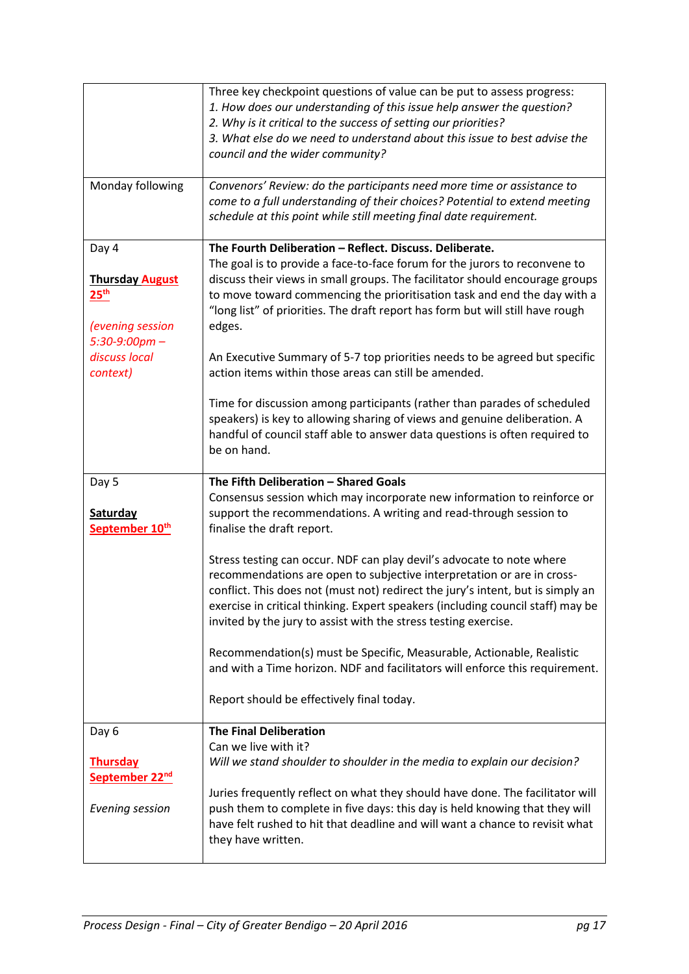|                                                                                             | Three key checkpoint questions of value can be put to assess progress:<br>1. How does our understanding of this issue help answer the question?<br>2. Why is it critical to the success of setting our priorities?<br>3. What else do we need to understand about this issue to best advise the<br>council and the wider community?                                                                     |
|---------------------------------------------------------------------------------------------|---------------------------------------------------------------------------------------------------------------------------------------------------------------------------------------------------------------------------------------------------------------------------------------------------------------------------------------------------------------------------------------------------------|
| Monday following                                                                            | Convenors' Review: do the participants need more time or assistance to<br>come to a full understanding of their choices? Potential to extend meeting<br>schedule at this point while still meeting final date requirement.                                                                                                                                                                              |
| Day 4<br><b>Thursday August</b><br>$25^{\text{th}}$<br>(evening session<br>$5:30-9:00$ pm - | The Fourth Deliberation - Reflect. Discuss. Deliberate.<br>The goal is to provide a face-to-face forum for the jurors to reconvene to<br>discuss their views in small groups. The facilitator should encourage groups<br>to move toward commencing the prioritisation task and end the day with a<br>"long list" of priorities. The draft report has form but will still have rough<br>edges.           |
| discuss local<br>context)                                                                   | An Executive Summary of 5-7 top priorities needs to be agreed but specific<br>action items within those areas can still be amended.<br>Time for discussion among participants (rather than parades of scheduled<br>speakers) is key to allowing sharing of views and genuine deliberation. A<br>handful of council staff able to answer data questions is often required to                             |
|                                                                                             | be on hand.                                                                                                                                                                                                                                                                                                                                                                                             |
| Day 5<br>Saturday<br>September 10th                                                         | The Fifth Deliberation - Shared Goals<br>Consensus session which may incorporate new information to reinforce or<br>support the recommendations. A writing and read-through session to                                                                                                                                                                                                                  |
|                                                                                             | finalise the draft report.                                                                                                                                                                                                                                                                                                                                                                              |
|                                                                                             | Stress testing can occur. NDF can play devil's advocate to note where<br>recommendations are open to subjective interpretation or are in cross-<br>conflict. This does not (must not) redirect the jury's intent, but is simply an<br>exercise in critical thinking. Expert speakers (including council staff) may be<br>invited by the jury to assist with the stress testing exercise.                |
|                                                                                             | Recommendation(s) must be Specific, Measurable, Actionable, Realistic<br>and with a Time horizon. NDF and facilitators will enforce this requirement.                                                                                                                                                                                                                                                   |
|                                                                                             | Report should be effectively final today.                                                                                                                                                                                                                                                                                                                                                               |
| Day 6<br><b>Thursday</b><br>September 22 <sup>nd</sup><br>Evening session                   | <b>The Final Deliberation</b><br>Can we live with it?<br>Will we stand shoulder to shoulder in the media to explain our decision?<br>Juries frequently reflect on what they should have done. The facilitator will<br>push them to complete in five days: this day is held knowing that they will<br>have felt rushed to hit that deadline and will want a chance to revisit what<br>they have written. |